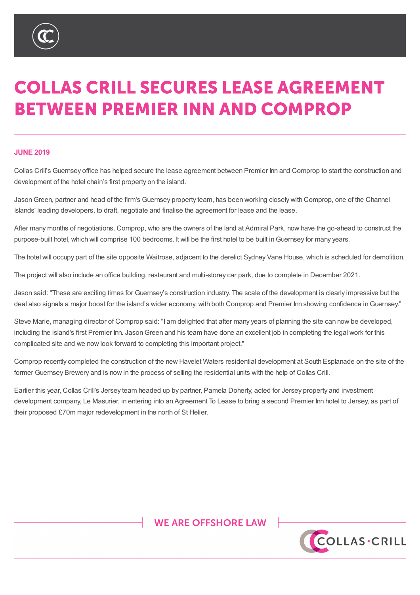

# **COLLAS CRILL SECURES LEASE AGREEMENT BETWEEN PREMIER INN AND COMPROP**

#### **JUNE 2019**

Collas Crill's Guernsey office has helped secure the lease agreement between Premier Inn and Comprop to start the construction and development of the hotel chain's first property on the island.

JasonGreen, partner and head of the firm's Guernsey property team, has been working closely with Comprop, one of the Channel Islands' leading developers, to draft, negotiate and finalise the agreement for lease and the lease.

After many months of negotiations, Comprop, who are the owners of the land at Admiral Park, now have the go-ahead to construct the purpose-built hotel, which will comprise 100 bedrooms. It will be the first hotel to be built inGuernsey for many years.

The hotel will occupy part of the site opposite Waitrose, adjacent to the derelict Sydney Vane House, which is scheduled for demolition.

The project will also include an office building, restaurant and multi-storey car park, due to complete in December 2021.

Jason said: "These are exciting times for Guernsey's construction industry. The scale of the development is clearly impressive but the deal also signals a major boost for the island's wider economy, with both Comprop and Premier Inn showing confidence inGuernsey."

Steve Marie, managing director of Comprop said: "I am delighted that after many years of planning the site can now be developed, including the island's first Premier Inn. Jason Green and his team have done an excellent job in completing the legal work for this complicated site and we now look forward to completing this important project."

Comprop recently completed the construction of the new Havelet Waters residential development at South Esplanade on the site of the former Guernsey Brewery and is now in the process of selling the residential units with the help of Collas Crill.

Earlier this year, Collas Crill's Jersey team headed up by partner, Pamela Doherty, acted for Jersey property and investment development company, Le Masurier, in entering into an Agreement To Lease to bring a second Premier Inn hotel to Jersey, as part of their proposed £70m major redevelopment in the north of St Helier.

## **WE ARE OFFSHORE LAW**



### %9, \_ &D\PDQ \_ \*XHUQVH\ \_ -HUVH\ \_ /RQ

TKLV QRWH LV DVXPPDU\RIWKH VXEMHFW DOG LV SURYLGHG IRU LOIRUPDWLRO ROO\, WGRHV ORWSXUSRUW WR JLYH VSHFLI<br>FH VRXIKW ·KLOVW HYHU\FDUH KDV FHHO WDNHO LO SURGXFLOJ WKLV ORWH OHIWKHU WKH DXWKRU ORU &ROODV &ULOO VKDO· EKLOVW:HYHU\FDUHKDVEHHQWDNHQLQSURGXFLQJWKLVQRWHQHLWKHUWKHDXWKRUQRU&ROODV&ULOOVKDOOEHOLDEOHOLDEOHOLDEOHOLDEOHIRU PDWWHUV VHW RXW LQ LW \$00 FRS\ULJKW LQ WKLV PDWHULDO EHORQJV WR &ROODV &